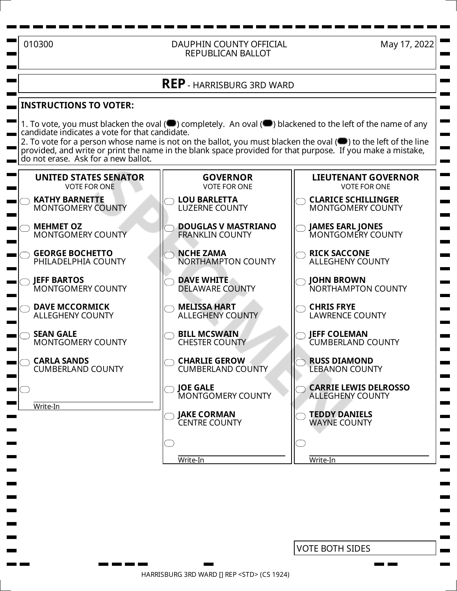## 010300 DAUPHIN COUNTY OFFICIAL REPUBLICAN BALLOT

May 17, 2022

## **REP**- HARRISBURG 3RD WARD

## **INSTRUCTIONS TO VOTER:**

1. To vote, you must blacken the oval ( $\bullet$ ) completely. An oval ( $\bullet$ ) blackened to the left of the name of any candidate indicates a vote for that candidate.

2. To vote for a person whose name is not on the ballot, you must blacken the oval  $(\bullet)$  to the left of the line provided, and write or print the name in the blank space provided for that purpose. If you make a mistake, do not erase. Ask for a new ballot.



VOTE BOTH SIDES